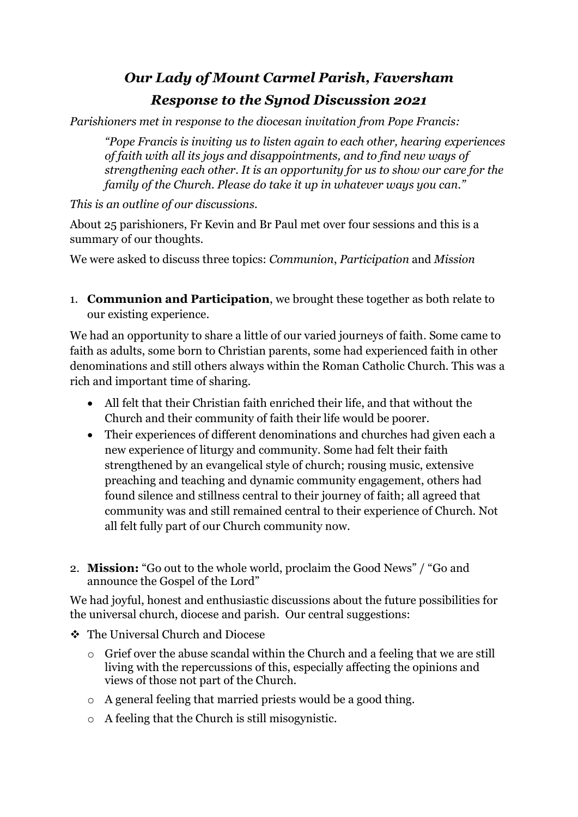# *Our Lady of Mount Carmel Parish, Faversham Response to the Synod Discussion 2021*

*Parishioners met in response to the diocesan invitation from Pope Francis:*

*"Pope Francis is inviting us to listen again to each other, hearing experiences of faith with all its joys and disappointments, and to find new ways of strengthening each other. It is an opportunity for us to show our care for the family of the Church. Please do take it up in whatever ways you can."* 

# *This is an outline of our discussions.*

About 25 parishioners, Fr Kevin and Br Paul met over four sessions and this is a summary of our thoughts.

We were asked to discuss three topics: *Communion*, *Participation* and *Mission*

1. **Communion and Participation**, we brought these together as both relate to our existing experience.

We had an opportunity to share a little of our varied journeys of faith. Some came to faith as adults, some born to Christian parents, some had experienced faith in other denominations and still others always within the Roman Catholic Church. This was a rich and important time of sharing.

- All felt that their Christian faith enriched their life, and that without the Church and their community of faith their life would be poorer.
- Their experiences of different denominations and churches had given each a new experience of liturgy and community. Some had felt their faith strengthened by an evangelical style of church; rousing music, extensive preaching and teaching and dynamic community engagement, others had found silence and stillness central to their journey of faith; all agreed that community was and still remained central to their experience of Church. Not all felt fully part of our Church community now.
- 2. **Mission:** "Go out to the whole world, proclaim the Good News" / "Go and announce the Gospel of the Lord"

We had joyful, honest and enthusiastic discussions about the future possibilities for the universal church, diocese and parish. Our central suggestions:

- ❖ The Universal Church and Diocese
	- o Grief over the abuse scandal within the Church and a feeling that we are still living with the repercussions of this, especially affecting the opinions and views of those not part of the Church.
	- o A general feeling that married priests would be a good thing.
	- o A feeling that the Church is still misogynistic.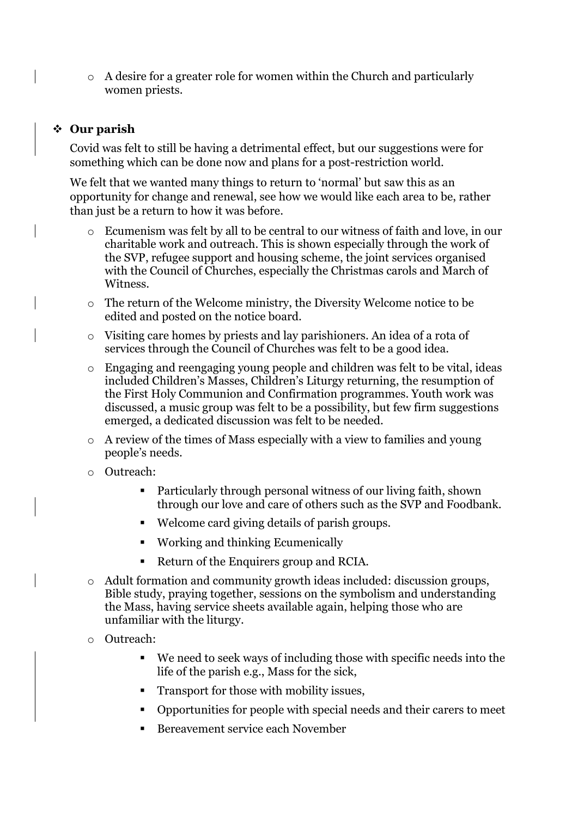o A desire for a greater role for women within the Church and particularly women priests.

### ❖ **Our parish**

Covid was felt to still be having a detrimental effect, but our suggestions were for something which can be done now and plans for a post-restriction world.

We felt that we wanted many things to return to 'normal' but saw this as an opportunity for change and renewal, see how we would like each area to be, rather than just be a return to how it was before.

- Ecumenism was felt by all to be central to our witness of faith and love, in our charitable work and outreach. This is shown especially through the work of the SVP, refugee support and housing scheme, the joint services organised with the Council of Churches, especially the Christmas carols and March of Witness.
- o The return of the Welcome ministry, the Diversity Welcome notice to be edited and posted on the notice board.
- o Visiting care homes by priests and lay parishioners. An idea of a rota of services through the Council of Churches was felt to be a good idea.
- o Engaging and reengaging young people and children was felt to be vital, ideas included Children's Masses, Children's Liturgy returning, the resumption of the First Holy Communion and Confirmation programmes. Youth work was discussed, a music group was felt to be a possibility, but few firm suggestions emerged, a dedicated discussion was felt to be needed.
- o A review of the times of Mass especially with a view to families and young people's needs.
- o Outreach:
	- Particularly through personal witness of our living faith, shown through our love and care of others such as the SVP and Foodbank.
	- Welcome card giving details of parish groups.
	- Working and thinking Ecumenically
	- Return of the Enquirers group and RCIA.
- o Adult formation and community growth ideas included: discussion groups, Bible study, praying together, sessions on the symbolism and understanding the Mass, having service sheets available again, helping those who are unfamiliar with the liturgy.
- o Outreach:
	- We need to seek ways of including those with specific needs into the life of the parish e.g., Mass for the sick,
	- Transport for those with mobility issues,
	- Opportunities for people with special needs and their carers to meet
	- Bereavement service each November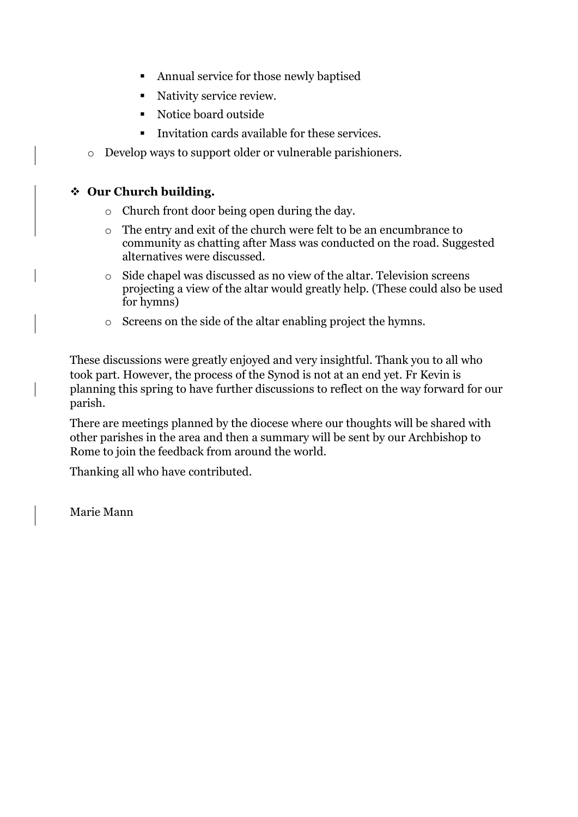- Annual service for those newly baptised
- Nativity service review.
- Notice board outside
- Invitation cards available for these services.
- o Develop ways to support older or vulnerable parishioners.

# ❖ **Our Church building.**

- o Church front door being open during the day.
- o The entry and exit of the church were felt to be an encumbrance to community as chatting after Mass was conducted on the road. Suggested alternatives were discussed.
- $\circ$  Side chapel was discussed as no view of the altar. Television screens projecting a view of the altar would greatly help. (These could also be used for hymns)
- o Screens on the side of the altar enabling project the hymns.

These discussions were greatly enjoyed and very insightful. Thank you to all who took part. However, the process of the Synod is not at an end yet. Fr Kevin is planning this spring to have further discussions to reflect on the way forward for our parish.

There are meetings planned by the diocese where our thoughts will be shared with other parishes in the area and then a summary will be sent by our Archbishop to Rome to join the feedback from around the world.

Thanking all who have contributed.

Marie Mann